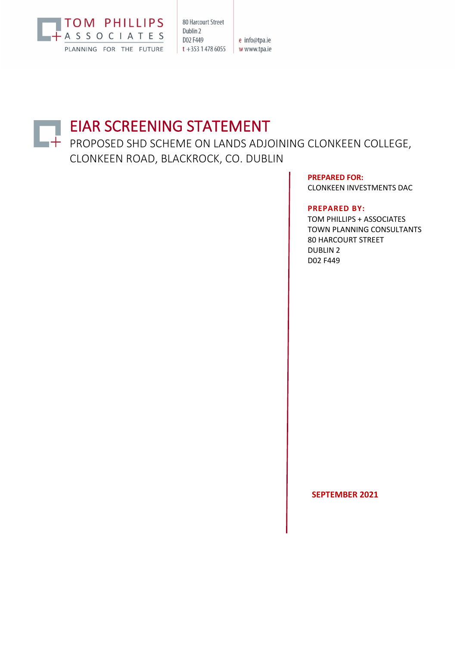

80 Harcourt Street Dublin 2 D02 F449  $t + 35314786055$  www.tpa.ie

e info@tpa.ie

# EIAR SCREENING STATEMENT<br>
FROPOSED SHD SCHEME ON LANDS ADJOINING CLONKEEN COLLEGE, CLONKEEN ROAD, BLACKROCK, CO. DUBLIN

# **PREPARED FOR:**

CLONKEEN INVESTMENTS DAC

## **PREPARED BY:**

TOM PHILLIPS + ASSOCIATES TOWN PLANNING CONSULTANTS 80 HARCOURT STREET DUBLIN 2 D02 F449

**SEPTEMBER 2021**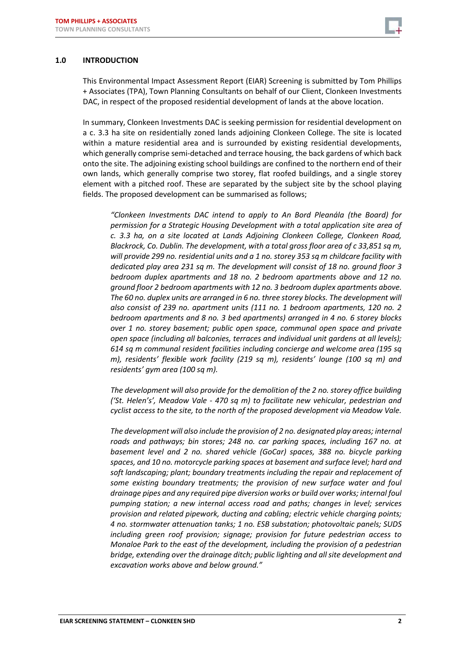

#### **1.0 INTRODUCTION**

This Environmental Impact Assessment Report (EIAR) Screening is submitted by Tom Phillips + Associates (TPA), Town Planning Consultants on behalf of our Client, Clonkeen Investments DAC, in respect of the proposed residential development of lands at the above location.

In summary, Clonkeen Investments DAC is seeking permission for residential development on a c. 3.3 ha site on residentially zoned lands adjoining Clonkeen College. The site is located within a mature residential area and is surrounded by existing residential developments, which generally comprise semi-detached and terrace housing, the back gardens of which back onto the site. The adjoining existing school buildings are confined to the northern end of their own lands, which generally comprise two storey, flat roofed buildings, and a single storey element with a pitched roof. These are separated by the subject site by the school playing fields. The proposed development can be summarised as follows;

*"Clonkeen Investments DAC intend to apply to An Bord Pleanála (the Board) for permission for a Strategic Housing Development with a total application site area of c. 3.3 ha, on a site located at Lands Adjoining Clonkeen College, Clonkeen Road, Blackrock, Co. Dublin. The development, with a total gross floor area of c 33,851 sq m, will provide 299 no. residential units and a 1 no. storey 353 sq m childcare facility with dedicated play area 231 sq m. The development will consist of 18 no. ground floor 3 bedroom duplex apartments and 18 no. 2 bedroom apartments above and 12 no. ground floor 2 bedroom apartments with 12 no. 3 bedroom duplex apartments above. The 60 no. duplex units are arranged in 6 no. three storey blocks. The development will also consist of 239 no. apartment units (111 no. 1 bedroom apartments, 120 no. 2 bedroom apartments and 8 no. 3 bed apartments) arranged in 4 no. 6 storey blocks over 1 no. storey basement; public open space, communal open space and private open space (including all balconies, terraces and individual unit gardens at all levels); 614 sq m communal resident facilities including concierge and welcome area (195 sq m), residents' flexible work facility (219 sq m), residents' lounge (100 sq m) and residents' gym area (100 sq m).*

*The development will also provide for the demolition of the 2 no. storey office building ('St. Helen's', Meadow Vale - 470 sq m) to facilitate new vehicular, pedestrian and cyclist access to the site, to the north of the proposed development via Meadow Vale.*

*The development will also include the provision of 2 no. designated play areas; internal roads and pathways; bin stores; 248 no. car parking spaces, including 167 no. at basement level and 2 no. shared vehicle (GoCar) spaces, 388 no. bicycle parking spaces, and 10 no. motorcycle parking spaces at basement and surface level; hard and soft landscaping; plant; boundary treatments including the repair and replacement of some existing boundary treatments; the provision of new surface water and foul drainage pipes and any required pipe diversion works or build over works; internal foul pumping station; a new internal access road and paths; changes in level; services provision and related pipework, ducting and cabling; electric vehicle charging points; 4 no. stormwater attenuation tanks; 1 no. ESB substation; photovoltaic panels; SUDS including green roof provision; signage; provision for future pedestrian access to Monaloe Park to the east of the development, including the provision of a pedestrian bridge, extending over the drainage ditch; public lighting and all site development and excavation works above and below ground."*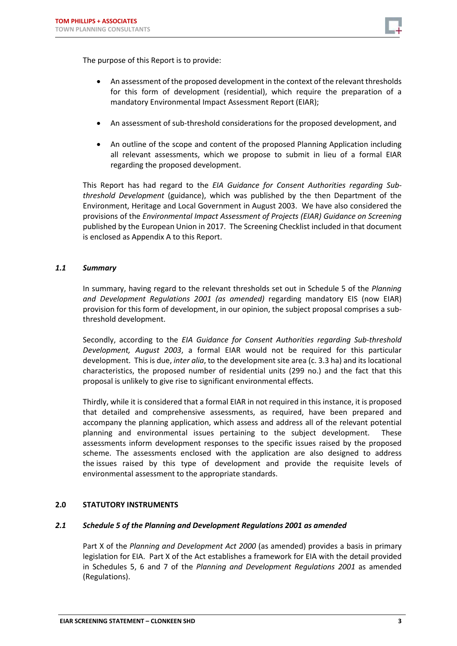

The purpose of this Report is to provide:

- An assessment of the proposed development in the context of the relevant thresholds for this form of development (residential), which require the preparation of a mandatory Environmental Impact Assessment Report (EIAR);
- An assessment of sub-threshold considerations for the proposed development, and
- An outline of the scope and content of the proposed Planning Application including all relevant assessments, which we propose to submit in lieu of a formal EIAR regarding the proposed development.

This Report has had regard to the *EIA Guidance for Consent Authorities regarding Subthreshold Development* (guidance), which was published by the then Department of the Environment, Heritage and Local Government in August 2003. We have also considered the provisions of the *Environmental Impact Assessment of Projects (EIAR) Guidance on Screening* published by the European Union in 2017. The Screening Checklist included in that document is enclosed as Appendix A to this Report.

## *1.1 Summary*

In summary, having regard to the relevant thresholds set out in Schedule 5 of the *Planning and Development Regulations 2001 (as amended)* regarding mandatory EIS (now EIAR) provision for this form of development, in our opinion, the subject proposal comprises a subthreshold development.

Secondly, according to the *EIA Guidance for Consent Authorities regarding Sub-threshold Development, August 2003*, a formal EIAR would not be required for this particular development. This is due, *inter alia*, to the development site area (c. 3.3 ha) and its locational characteristics, the proposed number of residential units (299 no.) and the fact that this proposal is unlikely to give rise to significant environmental effects.

Thirdly, while it is considered that a formal EIAR in not required in this instance, it is proposed that detailed and comprehensive assessments, as required, have been prepared and accompany the planning application, which assess and address all of the relevant potential planning and environmental issues pertaining to the subject development. These assessments inform development responses to the specific issues raised by the proposed scheme. The assessments enclosed with the application are also designed to address the issues raised by this type of development and provide the requisite levels of environmental assessment to the appropriate standards.

## **2.0 STATUTORY INSTRUMENTS**

## *2.1 Schedule 5 of the Planning and Development Regulations 2001 as amended*

Part X of the *Planning and Development Act 2000* (as amended) provides a basis in primary legislation for EIA. Part X of the Act establishes a framework for EIA with the detail provided in Schedules 5, 6 and 7 of the *Planning and Development Regulations 2001* as amended (Regulations).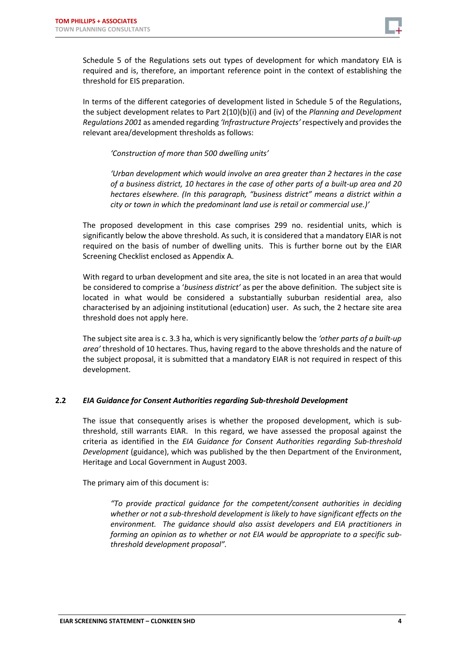

Schedule 5 of the Regulations sets out types of development for which mandatory EIA is required and is, therefore, an important reference point in the context of establishing the threshold for EIS preparation.

In terms of the different categories of development listed in Schedule 5 of the Regulations, the subject development relates to Part 2(10)(b)(i) and (iv) of the *Planning and Development Regulations 2001* as amended regarding *'Infrastructure Projects'*respectively and provides the relevant area/development thresholds as follows:

*'Construction of more than 500 dwelling units'*

*'Urban development which would involve an area greater than 2 hectares in the case of a business district, 10 hectares in the case of other parts of a built-up area and 20 hectares elsewhere. (In this paragraph, "business district" means a district within a city or town in which the predominant land use is retail or commercial use.)'*

The proposed development in this case comprises 299 no. residential units, which is significantly below the above threshold. As such, it is considered that a mandatory EIAR is not required on the basis of number of dwelling units. This is further borne out by the EIAR Screening Checklist enclosed as Appendix A.

With regard to urban development and site area, the site is not located in an area that would be considered to comprise a '*business district'* as per the above definition. The subject site is located in what would be considered a substantially suburban residential area, also characterised by an adjoining institutional (education) user. As such, the 2 hectare site area threshold does not apply here.

The subject site area is c. 3.3 ha, which is very significantly below the *'other parts of a built-up area'* threshold of 10 hectares. Thus, having regard to the above thresholds and the nature of the subject proposal, it is submitted that a mandatory EIAR is not required in respect of this development.

# **2.2** *EIA Guidance for Consent Authorities regarding Sub-threshold Development*

The issue that consequently arises is whether the proposed development, which is subthreshold, still warrants EIAR. In this regard, we have assessed the proposal against the criteria as identified in the *EIA Guidance for Consent Authorities regarding Sub-threshold Development* (guidance), which was published by the then Department of the Environment, Heritage and Local Government in August 2003.

The primary aim of this document is:

*"To provide practical guidance for the competent/consent authorities in deciding whether or not a sub-threshold development is likely to have significant effects on the environment. The guidance should also assist developers and EIA practitioners in forming an opinion as to whether or not EIA would be appropriate to a specific subthreshold development proposal".*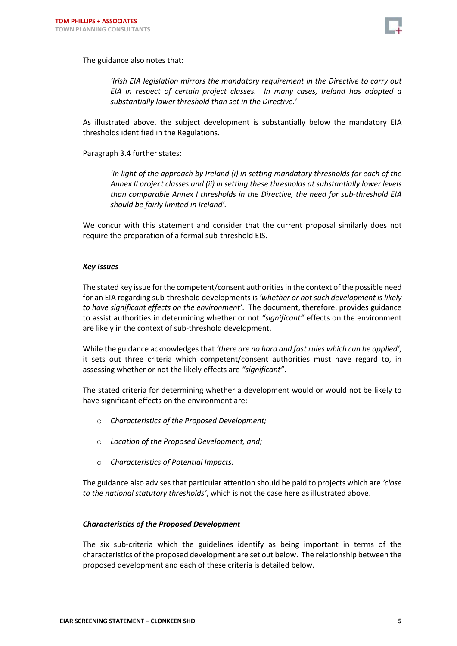

The guidance also notes that:

*'Irish EIA legislation mirrors the mandatory requirement in the Directive to carry out EIA in respect of certain project classes. In many cases, Ireland has adopted a substantially lower threshold than set in the Directive.'*

As illustrated above, the subject development is substantially below the mandatory EIA thresholds identified in the Regulations.

Paragraph 3.4 further states:

*'In light of the approach by Ireland (i) in setting mandatory thresholds for each of the Annex II project classes and (ii) in setting these thresholds at substantially lower levels than comparable Annex I thresholds in the Directive, the need for sub-threshold EIA should be fairly limited in Ireland'.*

We concur with this statement and consider that the current proposal similarly does not require the preparation of a formal sub-threshold EIS.

#### *Key Issues*

The stated key issue for the competent/consent authorities in the context of the possible need for an EIA regarding sub-threshold developments is *'whether or not such development is likely to have significant effects on the environment'*. The document, therefore, provides guidance to assist authorities in determining whether or not *"significant"* effects on the environment are likely in the context of sub-threshold development.

While the guidance acknowledges that *'there are no hard and fast rules which can be applied'*, it sets out three criteria which competent/consent authorities must have regard to, in assessing whether or not the likely effects are *"significant"*.

The stated criteria for determining whether a development would or would not be likely to have significant effects on the environment are:

- o *Characteristics of the Proposed Development;*
- o *Location of the Proposed Development, and;*
- o *Characteristics of Potential Impacts.*

The guidance also advises that particular attention should be paid to projects which are *'close to the national statutory thresholds'*, which is not the case here as illustrated above.

## *Characteristics of the Proposed Development*

The six sub-criteria which the guidelines identify as being important in terms of the characteristics of the proposed development are set out below. The relationship between the proposed development and each of these criteria is detailed below.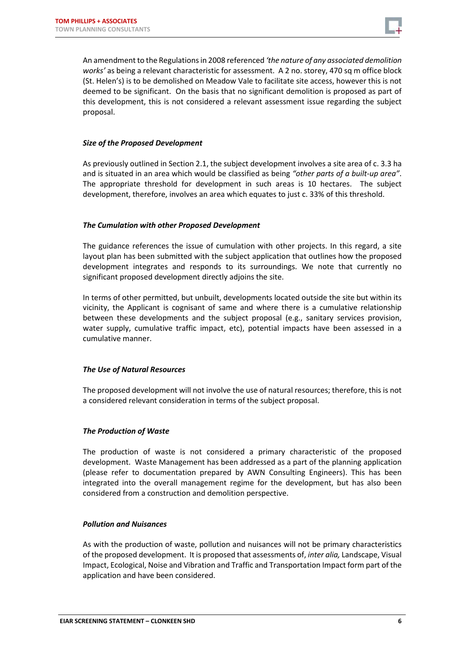

An amendment to the Regulations in 2008 referenced *'the nature of any associated demolition works'* as being a relevant characteristic for assessment. A 2 no. storey, 470 sq m office block (St. Helen's) is to be demolished on Meadow Vale to facilitate site access, however this is not deemed to be significant. On the basis that no significant demolition is proposed as part of this development, this is not considered a relevant assessment issue regarding the subject proposal.

## *Size of the Proposed Development*

As previously outlined in Section 2.1, the subject development involves a site area of c. 3.3 ha and is situated in an area which would be classified as being *"other parts of a built-up area"*. The appropriate threshold for development in such areas is 10 hectares. The subject development, therefore, involves an area which equates to just c. 33% of this threshold.

# *The Cumulation with other Proposed Development*

The guidance references the issue of cumulation with other projects. In this regard, a site layout plan has been submitted with the subject application that outlines how the proposed development integrates and responds to its surroundings. We note that currently no significant proposed development directly adjoins the site.

In terms of other permitted, but unbuilt, developments located outside the site but within its vicinity, the Applicant is cognisant of same and where there is a cumulative relationship between these developments and the subject proposal (e.g., sanitary services provision, water supply, cumulative traffic impact, etc), potential impacts have been assessed in a cumulative manner.

## *The Use of Natural Resources*

The proposed development will not involve the use of natural resources; therefore, this is not a considered relevant consideration in terms of the subject proposal.

## *The Production of Waste*

The production of waste is not considered a primary characteristic of the proposed development. Waste Management has been addressed as a part of the planning application (please refer to documentation prepared by AWN Consulting Engineers). This has been integrated into the overall management regime for the development, but has also been considered from a construction and demolition perspective.

## *Pollution and Nuisances*

As with the production of waste, pollution and nuisances will not be primary characteristics of the proposed development. It is proposed that assessments of, *inter alia,* Landscape, Visual Impact, Ecological, Noise and Vibration and Traffic and Transportation Impact form part of the application and have been considered.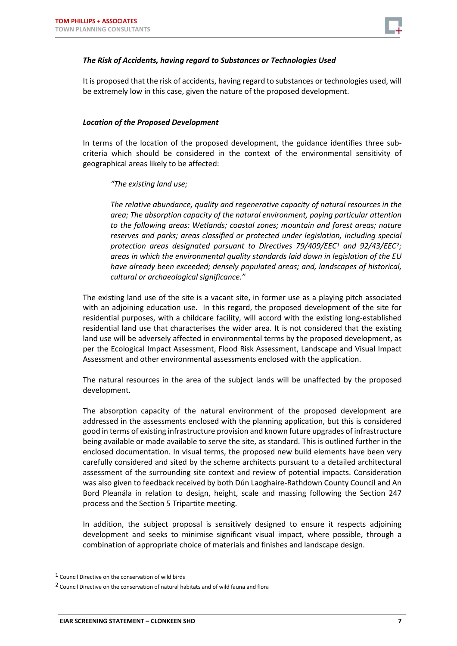

#### *The Risk of Accidents, having regard to Substances or Technologies Used*

It is proposed that the risk of accidents, having regard to substances or technologies used, will be extremely low in this case, given the nature of the proposed development.

#### *Location of the Proposed Development*

In terms of the location of the proposed development, the guidance identifies three subcriteria which should be considered in the context of the environmental sensitivity of geographical areas likely to be affected:

#### *"The existing land use;*

*The relative abundance, quality and regenerative capacity of natural resources in the area; The absorption capacity of the natural environment, paying particular attention to the following areas: Wetlands; coastal zones; mountain and forest areas; nature reserves and parks; areas classified or protected under legislation, including special protection areas designated pursuant to Directives 79/409/EEC[1](#page-6-0) and 92/43/EEC[2](#page-6-1); areas in which the environmental quality standards laid down in legislation of the EU have already been exceeded; densely populated areas; and, landscapes of historical, cultural or archaeological significance."* 

The existing land use of the site is a vacant site, in former use as a playing pitch associated with an adjoining education use. In this regard, the proposed development of the site for residential purposes, with a childcare facility, will accord with the existing long-established residential land use that characterises the wider area. It is not considered that the existing land use will be adversely affected in environmental terms by the proposed development, as per the Ecological Impact Assessment, Flood Risk Assessment, Landscape and Visual Impact Assessment and other environmental assessments enclosed with the application.

The natural resources in the area of the subject lands will be unaffected by the proposed development.

The absorption capacity of the natural environment of the proposed development are addressed in the assessments enclosed with the planning application, but this is considered good in terms of existing infrastructure provision and known future upgrades of infrastructure being available or made available to serve the site, as standard. This is outlined further in the enclosed documentation. In visual terms, the proposed new build elements have been very carefully considered and sited by the scheme architects pursuant to a detailed architectural assessment of the surrounding site context and review of potential impacts. Consideration was also given to feedback received by both Dún Laoghaire-Rathdown County Council and An Bord Pleanála in relation to design, height, scale and massing following the Section 247 process and the Section 5 Tripartite meeting.

In addition, the subject proposal is sensitively designed to ensure it respects adjoining development and seeks to minimise significant visual impact, where possible, through a combination of appropriate choice of materials and finishes and landscape design.

<span id="page-6-0"></span><sup>1</sup> Council Directive on the conservation of wild birds

<span id="page-6-1"></span><sup>2</sup> Council Directive on the conservation of natural habitats and of wild fauna and flora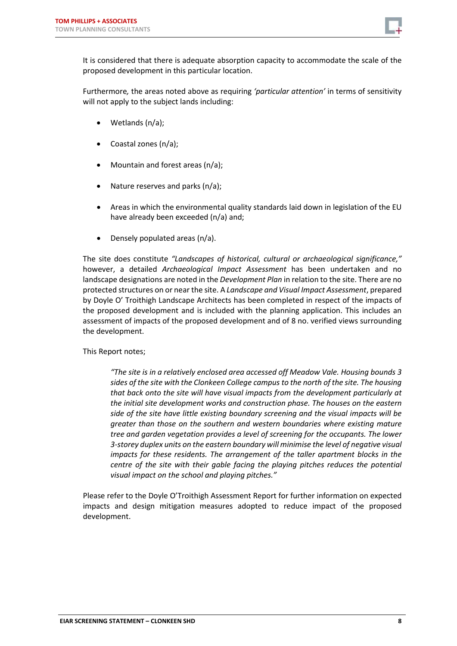

It is considered that there is adequate absorption capacity to accommodate the scale of the proposed development in this particular location.

Furthermore*,* the areas noted above as requiring *'particular attention'* in terms of sensitivity will not apply to the subject lands including:

- Wetlands (n/a);
- Coastal zones (n/a);
- Mountain and forest areas (n/a);
- Nature reserves and parks (n/a);
- Areas in which the environmental quality standards laid down in legislation of the EU have already been exceeded (n/a) and;
- Densely populated areas (n/a).

The site does constitute *"Landscapes of historical, cultural or archaeological significance,"*  however, a detailed *Archaeological Impact Assessment* has been undertaken and no landscape designations are noted in the *Development Plan* in relation to the site. There are no protected structures on or near the site. A *Landscape and Visual Impact Assessment*, prepared by Doyle O' Troithigh Landscape Architects has been completed in respect of the impacts of the proposed development and is included with the planning application. This includes an assessment of impacts of the proposed development and of 8 no. verified views surrounding the development.

This Report notes;

*"The site is in a relatively enclosed area accessed off Meadow Vale. Housing bounds 3 sides of the site with the Clonkeen College campus to the north of the site. The housing that back onto the site will have visual impacts from the development particularly at the initial site development works and construction phase. The houses on the eastern side of the site have little existing boundary screening and the visual impacts will be greater than those on the southern and western boundaries where existing mature tree and garden vegetation provides a level of screening for the occupants. The lower 3-storey duplex units on the eastern boundary will minimise the level of negative visual impacts for these residents. The arrangement of the taller apartment blocks in the centre of the site with their gable facing the playing pitches reduces the potential visual impact on the school and playing pitches."*

Please refer to the Doyle O'Troithigh Assessment Report for further information on expected impacts and design mitigation measures adopted to reduce impact of the proposed development.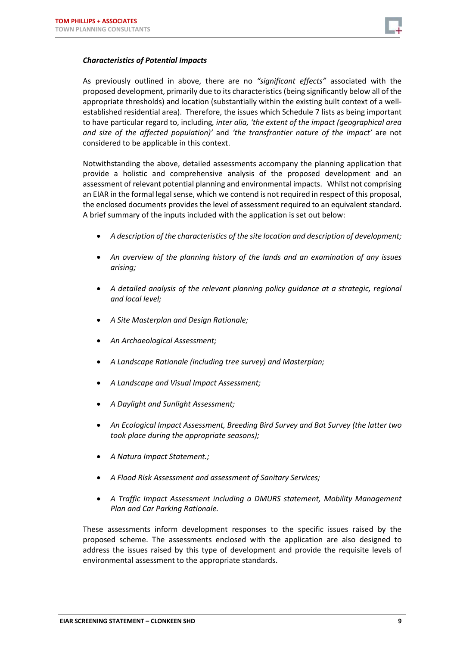

## *Characteristics of Potential Impacts*

As previously outlined in above, there are no *"significant effects"* associated with the proposed development, primarily due to its characteristics (being significantly below all of the appropriate thresholds) and location (substantially within the existing built context of a wellestablished residential area). Therefore, the issues which Schedule 7 lists as being important to have particular regard to, including*, inter alia, 'the extent of the impact (geographical area and size of the affected population)'* and *'the transfrontier nature of the impact'* are not considered to be applicable in this context.

Notwithstanding the above, detailed assessments accompany the planning application that provide a holistic and comprehensive analysis of the proposed development and an assessment of relevant potential planning and environmental impacts. Whilst not comprising an EIAR in the formal legal sense, which we contend is not required in respect of this proposal, the enclosed documents provides the level of assessment required to an equivalent standard. A brief summary of the inputs included with the application is set out below:

- *A description of the characteristics of the site location and description of development;*
- *An overview of the planning history of the lands and an examination of any issues arising;*
- *A detailed analysis of the relevant planning policy guidance at a strategic, regional and local level;*
- *A Site Masterplan and Design Rationale;*
- *An Archaeological Assessment;*
- *A Landscape Rationale (including tree survey) and Masterplan;*
- *A Landscape and Visual Impact Assessment;*
- *A Daylight and Sunlight Assessment;*
- *An Ecological Impact Assessment, Breeding Bird Survey and Bat Survey (the latter two took place during the appropriate seasons);*
- *A Natura Impact Statement.;*
- *A Flood Risk Assessment and assessment of Sanitary Services;*
- *A Traffic Impact Assessment including a DMURS statement, Mobility Management Plan and Car Parking Rationale.*

These assessments inform development responses to the specific issues raised by the proposed scheme. The assessments enclosed with the application are also designed to address the issues raised by this type of development and provide the requisite levels of environmental assessment to the appropriate standards.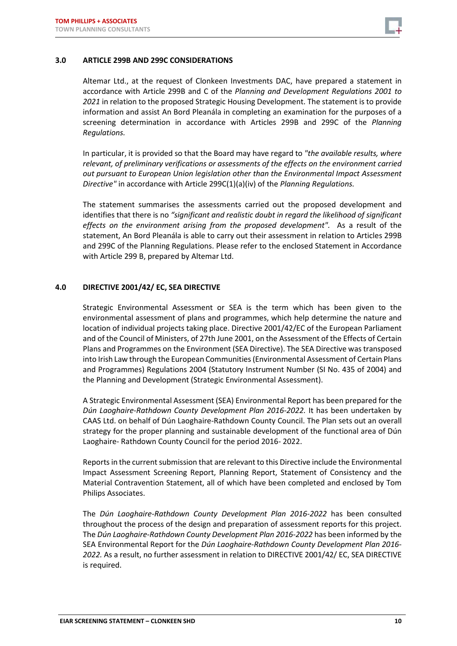

#### **3.0 ARTICLE 299B AND 299C CONSIDERATIONS**

Altemar Ltd., at the request of Clonkeen Investments DAC, have prepared a statement in accordance with Article 299B and C of the *Planning and Development Regulations 2001 to 2021* in relation to the proposed Strategic Housing Development. The statement is to provide information and assist An Bord Pleanála in completing an examination for the purposes of a screening determination in accordance with Articles 299B and 299C of the *Planning Regulations.*

In particular, it is provided so that the Board may have regard to *"the available results, where relevant, of preliminary verifications or assessments of the effects on the environment carried out pursuant to European Union legislation other than the Environmental Impact Assessment Directive"* in accordance with Article 299C(1)(a)(iv) of the *Planning Regulations.*

The statement summarises the assessments carried out the proposed development and identifies that there is no *"significant and realistic doubt in regard the likelihood of significant effects on the environment arising from the proposed development".* As a result of the statement, An Bord Pleanála is able to carry out their assessment in relation to Articles 299B and 299C of the Planning Regulations. Please refer to the enclosed Statement in Accordance with Article 299 B, prepared by Altemar Ltd.

#### **4.0 DIRECTIVE 2001/42/ EC, SEA DIRECTIVE**

Strategic Environmental Assessment or SEA is the term which has been given to the environmental assessment of plans and programmes, which help determine the nature and location of individual projects taking place. Directive 2001/42/EC of the European Parliament and of the Council of Ministers, of 27th June 2001, on the Assessment of the Effects of Certain Plans and Programmes on the Environment (SEA Directive). The SEA Directive was transposed into Irish Law through the European Communities (Environmental Assessment of Certain Plans and Programmes) Regulations 2004 (Statutory Instrument Number (SI No. 435 of 2004) and the Planning and Development (Strategic Environmental Assessment).

A Strategic Environmental Assessment (SEA) Environmental Report has been prepared for the *Dún Laoghaire-Rathdown County Development Plan 2016-2022.* It has been undertaken by CAAS Ltd. on behalf of Dún Laoghaire-Rathdown County Council. The Plan sets out an overall strategy for the proper planning and sustainable development of the functional area of Dún Laoghaire- Rathdown County Council for the period 2016- 2022.

Reports in the current submission that are relevant to this Directive include the Environmental Impact Assessment Screening Report, Planning Report, Statement of Consistency and the Material Contravention Statement, all of which have been completed and enclosed by Tom Philips Associates.

The *Dún Laoghaire-Rathdown County Development Plan 2016-2022* has been consulted throughout the process of the design and preparation of assessment reports for this project. The *Dún Laoghaire-Rathdown County Development Plan 2016-2022* has been informed by the SEA Environmental Report for the *Dún Laoghaire-Rathdown County Development Plan 2016- 2022.* As a result, no further assessment in relation to DIRECTIVE 2001/42/ EC, SEA DIRECTIVE is required.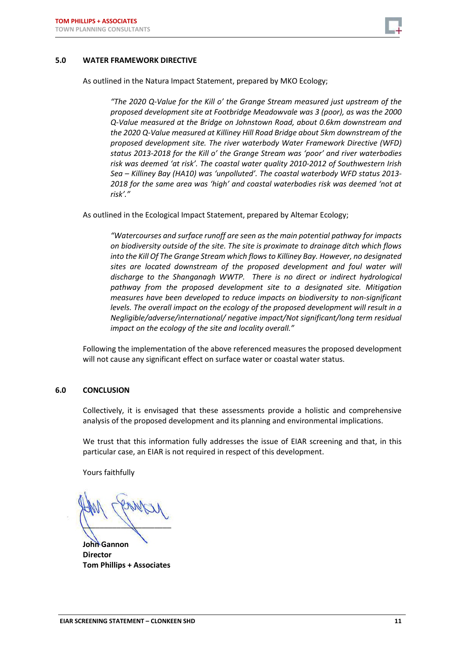

#### **5.0 WATER FRAMEWORK DIRECTIVE**

As outlined in the Natura Impact Statement, prepared by MKO Ecology;

*"The 2020 Q-Value for the Kill o' the Grange Stream measured just upstream of the proposed development site at Footbridge Meadowvale was 3 (poor), as was the 2000 Q-Value measured at the Bridge on Johnstown Road, about 0.6km downstream and the 2020 Q-Value measured at Killiney Hill Road Bridge about 5km downstream of the proposed development site. The river waterbody Water Framework Directive (WFD) status 2013-2018 for the Kill o' the Grange Stream was 'poor' and river waterbodies risk was deemed 'at risk'. The coastal water quality 2010-2012 of Southwestern Irish Sea – Killiney Bay (HA10) was 'unpolluted'. The coastal waterbody WFD status 2013- 2018 for the same area was 'high' and coastal waterbodies risk was deemed 'not at risk'."*

As outlined in the Ecological Impact Statement, prepared by Altemar Ecology;

*"Watercourses and surface runoff are seen as the main potential pathway for impacts on biodiversity outside of the site. The site is proximate to drainage ditch which flows into the Kill Of The Grange Stream which flows to Killiney Bay. However, no designated sites are located downstream of the proposed development and foul water will discharge to the Shanganagh WWTP. There is no direct or indirect hydrological pathway from the proposed development site to a designated site. Mitigation measures have been developed to reduce impacts on biodiversity to non-significant levels. The overall impact on the ecology of the proposed development will result in a Negligible/adverse/international/ negative impact/Not significant/long term residual impact on the ecology of the site and locality overall."*

Following the implementation of the above referenced measures the proposed development will not cause any significant effect on surface water or coastal water status.

#### **6.0 CONCLUSION**

Collectively, it is envisaged that these assessments provide a holistic and comprehensive analysis of the proposed development and its planning and environmental implications.

We trust that this information fully addresses the issue of EIAR screening and that, in this particular case, an EIAR is not required in respect of this development.

Yours faithfully

 $\mathcal{M}$ 

**John Gannon Director Tom Phillips + Associates**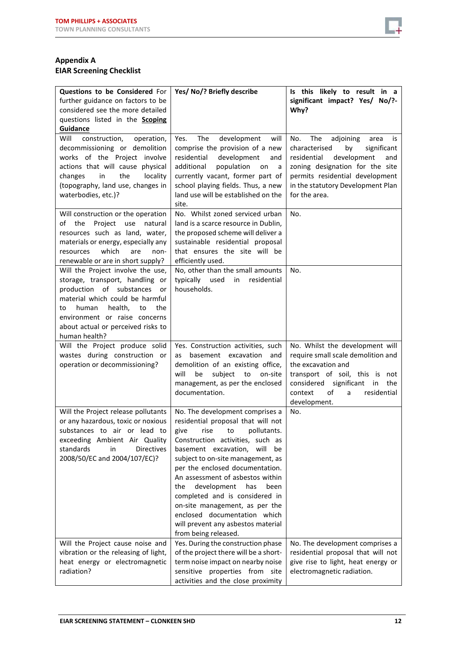

| <b>Questions to be Considered For</b><br>further guidance on factors to be<br>considered see the more detailed<br>questions listed in the <b>Scoping</b><br><b>Guidance</b>                                                                                              | Yes/ No/? Briefly describe                                                                                                                                                                                                                                                                                                                                                                                                                                                                     | Is this likely to result in a<br>significant impact? Yes/ No/?-<br>Why?                                                                                                                                                                      |
|--------------------------------------------------------------------------------------------------------------------------------------------------------------------------------------------------------------------------------------------------------------------------|------------------------------------------------------------------------------------------------------------------------------------------------------------------------------------------------------------------------------------------------------------------------------------------------------------------------------------------------------------------------------------------------------------------------------------------------------------------------------------------------|----------------------------------------------------------------------------------------------------------------------------------------------------------------------------------------------------------------------------------------------|
| Will<br>construction,<br>operation,<br>decommissioning or demolition<br>works of the Project involve<br>actions that will cause physical<br>the<br>in<br>locality<br>changes<br>(topography, land use, changes in<br>waterbodies, etc.)?                                 | The<br>development<br>Yes.<br>will<br>comprise the provision of a new<br>residential<br>development<br>and<br>additional<br>population<br>on<br>a<br>currently vacant, former part of<br>school playing fields. Thus, a new<br>land use will be established on the<br>site.                                                                                                                                                                                                                    | No.<br>The<br>adjoining<br>area<br>is<br>by<br>characterised<br>significant<br>residential<br>development<br>and<br>zoning designation for the site<br>permits residential development<br>in the statutory Development Plan<br>for the area. |
| Will construction or the operation<br>of the<br>Project<br>use<br>natural<br>resources such as land, water,<br>materials or energy, especially any<br>which<br>resources<br>are<br>non-<br>renewable or are in short supply?                                             | No. Whilst zoned serviced urban<br>land is a scarce resource in Dublin,<br>the proposed scheme will deliver a<br>sustainable residential proposal<br>that ensures the site will be<br>efficiently used.                                                                                                                                                                                                                                                                                        | No.                                                                                                                                                                                                                                          |
| Will the Project involve the use,<br>storage, transport, handling or<br>production of substances<br>or<br>material which could be harmful<br>health,<br>the<br>human<br>to<br>to<br>environment or raise concerns<br>about actual or perceived risks to<br>human health? | No, other than the small amounts<br>typically used<br>residential<br>in<br>households.                                                                                                                                                                                                                                                                                                                                                                                                         | No.                                                                                                                                                                                                                                          |
| Will the Project produce solid<br>wastes during construction or<br>operation or decommissioning?                                                                                                                                                                         | Yes. Construction activities, such<br>basement excavation<br>and<br>as<br>demolition of an existing office,<br>will<br>subject<br>be<br>to<br>on-site<br>management, as per the enclosed<br>documentation.                                                                                                                                                                                                                                                                                     | No. Whilst the development will<br>require small scale demolition and<br>the excavation and<br>transport of soil, this is not<br>significant<br>considered<br>the<br>in<br>of<br>residential<br>context<br>a<br>development.                 |
| Will the Project release pollutants<br>or any hazardous, toxic or noxious<br>substances to air or lead to<br>exceeding Ambient Air Quality<br>standards<br>in<br><b>Directives</b><br>2008/50/EC and 2004/107/EC)?                                                       | No. The development comprises a<br>residential proposal that will not<br>give rise to pollutants.<br>Construction activities, such as<br>basement excavation,<br>will<br>be<br>subject to on-site management, as<br>per the enclosed documentation.<br>An assessment of asbestos within<br>development<br>has<br>the<br>been<br>completed and is considered in<br>on-site management, as per the<br>enclosed documentation which<br>will prevent any asbestos material<br>from being released. | No.                                                                                                                                                                                                                                          |
| Will the Project cause noise and<br>vibration or the releasing of light,<br>heat energy or electromagnetic<br>radiation?                                                                                                                                                 | Yes. During the construction phase<br>of the project there will be a short-<br>term noise impact on nearby noise<br>sensitive properties from site<br>activities and the close proximity                                                                                                                                                                                                                                                                                                       | No. The development comprises a<br>residential proposal that will not<br>give rise to light, heat energy or<br>electromagnetic radiation.                                                                                                    |

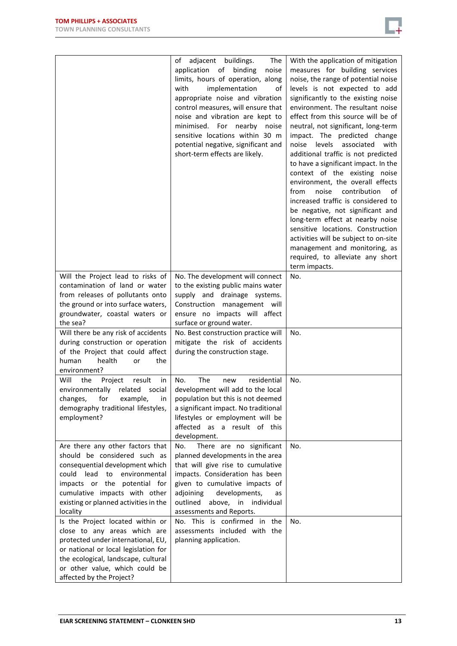

|                                                                                                                                                                                                                                                                | adjacent buildings.<br>The<br>οf<br>application of<br>binding<br>noise<br>limits, hours of operation, along<br>implementation<br>with<br>οf<br>appropriate noise and vibration<br>control measures, will ensure that<br>noise and vibration are kept to<br>minimised. For nearby noise<br>sensitive locations within 30 m<br>potential negative, significant and<br>short-term effects are likely. | With the application of mitigation<br>measures for building services<br>noise, the range of potential noise<br>levels is not expected to add<br>significantly to the existing noise<br>environment. The resultant noise<br>effect from this source will be of<br>neutral, not significant, long-term<br>impact. The predicted change<br>noise levels<br>associated<br>with<br>additional traffic is not predicted<br>to have a significant impact. In the<br>context of the existing noise<br>environment, the overall effects<br>noise<br>contribution<br>from<br>οf<br>increased traffic is considered to<br>be negative, not significant and<br>long-term effect at nearby noise<br>sensitive locations. Construction<br>activities will be subject to on-site<br>management and monitoring, as<br>required, to alleviate any short<br>term impacts. |
|----------------------------------------------------------------------------------------------------------------------------------------------------------------------------------------------------------------------------------------------------------------|----------------------------------------------------------------------------------------------------------------------------------------------------------------------------------------------------------------------------------------------------------------------------------------------------------------------------------------------------------------------------------------------------|---------------------------------------------------------------------------------------------------------------------------------------------------------------------------------------------------------------------------------------------------------------------------------------------------------------------------------------------------------------------------------------------------------------------------------------------------------------------------------------------------------------------------------------------------------------------------------------------------------------------------------------------------------------------------------------------------------------------------------------------------------------------------------------------------------------------------------------------------------|
| Will the Project lead to risks of<br>contamination of land or water<br>from releases of pollutants onto<br>the ground or into surface waters,<br>groundwater, coastal waters or<br>the sea?                                                                    | No. The development will connect<br>to the existing public mains water<br>supply and drainage systems.<br>Construction management will<br>ensure no impacts will affect<br>surface or ground water.                                                                                                                                                                                                | No.                                                                                                                                                                                                                                                                                                                                                                                                                                                                                                                                                                                                                                                                                                                                                                                                                                                     |
| Will there be any risk of accidents<br>during construction or operation<br>of the Project that could affect<br>health<br>the<br>human<br>or<br>environment?                                                                                                    | No. Best construction practice will<br>mitigate the risk of accidents<br>during the construction stage.                                                                                                                                                                                                                                                                                            | No.                                                                                                                                                                                                                                                                                                                                                                                                                                                                                                                                                                                                                                                                                                                                                                                                                                                     |
| the<br>Will<br>Project<br>result<br>in<br>environmentally related social<br>for<br>example,<br>in<br>changes,<br>demography traditional lifestyles,<br>employment?                                                                                             | The<br>residential<br>No.<br>new<br>development will add to the local<br>population but this is not deemed<br>a significant impact. No traditional<br>lifestyles or employment will be<br>affected as a result of this<br>development.                                                                                                                                                             | No.                                                                                                                                                                                                                                                                                                                                                                                                                                                                                                                                                                                                                                                                                                                                                                                                                                                     |
| Are there any other factors that<br>should be considered such as<br>consequential development which<br>environmental<br>could lead<br>to<br>impacts or the potential for<br>cumulative impacts with other<br>existing or planned activities in the<br>locality | There are no significant<br>No.<br>planned developments in the area<br>that will give rise to cumulative<br>impacts. Consideration has been<br>given to cumulative impacts of<br>developments,<br>adjoining<br>as<br>outlined<br>above, in individual<br>assessments and Reports.                                                                                                                  | No.                                                                                                                                                                                                                                                                                                                                                                                                                                                                                                                                                                                                                                                                                                                                                                                                                                                     |
| Is the Project located within or<br>close to any areas which are<br>protected under international, EU,<br>or national or local legislation for<br>the ecological, landscape, cultural<br>or other value, which could be<br>affected by the Project?            | No. This is confirmed in the<br>assessments included with the<br>planning application.                                                                                                                                                                                                                                                                                                             | No.                                                                                                                                                                                                                                                                                                                                                                                                                                                                                                                                                                                                                                                                                                                                                                                                                                                     |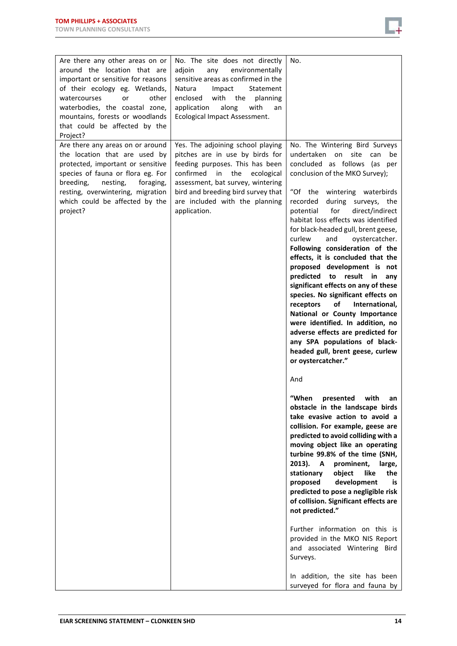

| Are there any other areas on or<br>around the location that are<br>important or sensitive for reasons<br>of their ecology eg. Wetlands,<br>or<br>other<br>watercourses<br>waterbodies, the coastal zone,<br>mountains, forests or woodlands<br>that could be affected by the<br>Project? | No. The site does not directly<br>environmentally<br>adjoin<br>any<br>sensitive areas as confirmed in the<br>Natura<br>Impact<br>Statement<br>enclosed<br>with<br>the<br>planning<br>with<br>application<br>along<br>an<br>Ecological Impact Assessment.                     | No.                                                                                                                                                                                                                                                                                                                                                                                                                                                                                                                                                                                                                                                                                                                                                                                                                                                          |
|------------------------------------------------------------------------------------------------------------------------------------------------------------------------------------------------------------------------------------------------------------------------------------------|------------------------------------------------------------------------------------------------------------------------------------------------------------------------------------------------------------------------------------------------------------------------------|--------------------------------------------------------------------------------------------------------------------------------------------------------------------------------------------------------------------------------------------------------------------------------------------------------------------------------------------------------------------------------------------------------------------------------------------------------------------------------------------------------------------------------------------------------------------------------------------------------------------------------------------------------------------------------------------------------------------------------------------------------------------------------------------------------------------------------------------------------------|
| Are there any areas on or around<br>the location that are used by<br>protected, important or sensitive<br>species of fauna or flora eg. For<br>breeding,<br>nesting,<br>foraging,<br>resting, overwintering, migration<br>which could be affected by the<br>project?                     | Yes. The adjoining school playing<br>pitches are in use by birds for<br>feeding purposes. This has been<br>confirmed<br>the<br>in<br>ecological<br>assessment, bat survey, wintering<br>bird and breeding bird survey that<br>are included with the planning<br>application. | No. The Wintering Bird Surveys<br>undertaken<br>on<br>site<br>can<br>be<br>concluded as follows (as per<br>conclusion of the MKO Survey);<br>"Of the<br>wintering waterbirds<br>recorded<br>during surveys, the<br>for<br>direct/indirect<br>potential<br>habitat loss effects was identified<br>for black-headed gull, brent geese,<br>curlew<br>and<br>oystercatcher.<br>Following consideration of the<br>effects, it is concluded that the<br>proposed development is not<br>predicted<br>to<br>result<br>any<br><b>in</b><br>significant effects on any of these<br>species. No significant effects on<br>receptors<br>of<br>International,<br>National or County Importance<br>were identified. In addition, no<br>adverse effects are predicted for<br>any SPA populations of black-<br>headed gull, brent geese, curlew<br>or oystercatcher."<br>And |
|                                                                                                                                                                                                                                                                                          |                                                                                                                                                                                                                                                                              | "When<br>presented with<br>obstacle in the landscape birds<br>take evasive action to avoid a<br>collision. For example, geese are<br>predicted to avoid colliding with a<br>moving object like an operating<br>turbine 99.8% of the time (SNH,<br>2013).<br>$\mathbf{A}$<br>prominent,<br>large,<br>stationary<br>object<br>like<br>the<br>development<br>proposed<br>is<br>predicted to pose a negligible risk<br>of collision. Significant effects are<br>not predicted."<br>Further information on this is<br>provided in the MKO NIS Report<br>and associated Wintering Bird<br>Surveys.<br>In addition, the site has been<br>surveyed for flora and fauna by                                                                                                                                                                                            |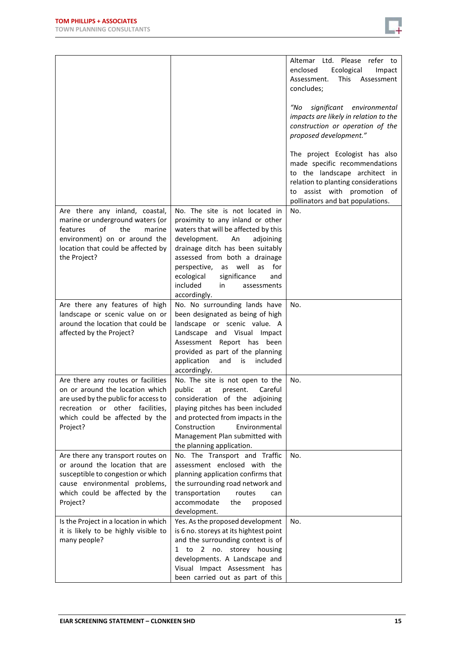

|                                                                                                                                                                                                |                                                                                                                                                                                                                                                                                                                                                  | Altemar Ltd. Please refer to<br>Ecological<br>enclosed<br>Impact<br>This<br>Assessment.<br>Assessment<br>concludes;<br>significant environmental<br>"No<br>impacts are likely in relation to the<br>construction or operation of the<br>proposed development."<br>The project Ecologist has also<br>made specific recommendations<br>to the landscape architect in<br>relation to planting considerations<br>assist with promotion of<br>to |
|------------------------------------------------------------------------------------------------------------------------------------------------------------------------------------------------|--------------------------------------------------------------------------------------------------------------------------------------------------------------------------------------------------------------------------------------------------------------------------------------------------------------------------------------------------|---------------------------------------------------------------------------------------------------------------------------------------------------------------------------------------------------------------------------------------------------------------------------------------------------------------------------------------------------------------------------------------------------------------------------------------------|
| Are there any inland, coastal,<br>marine or underground waters (or<br>of<br>the<br>features<br>marine<br>environment) on or around the<br>location that could be affected by<br>the Project?   | No. The site is not located in<br>proximity to any inland or other<br>waters that will be affected by this<br>development.<br>An<br>adjoining<br>drainage ditch has been suitably<br>assessed from both a drainage<br>as well<br>for<br>perspective,<br>as<br>ecological<br>significance<br>and<br>included<br>in<br>assessments<br>accordingly. | pollinators and bat populations.<br>No.                                                                                                                                                                                                                                                                                                                                                                                                     |
| Are there any features of high<br>landscape or scenic value on or<br>around the location that could be<br>affected by the Project?                                                             | No. No surrounding lands have<br>been designated as being of high<br>landscape or scenic value. A<br>Landscape and Visual Impact<br>Assessment Report has been<br>provided as part of the planning<br>application<br>included<br>and<br>is<br>accordingly.                                                                                       | No.                                                                                                                                                                                                                                                                                                                                                                                                                                         |
| Are there any routes or facilities<br>on or around the location which<br>are used by the public for access to<br>recreation or other facilities,<br>which could be affected by the<br>Project? | No. The site is not open to the<br>public<br>Careful<br>at<br>present.<br>consideration of the adjoining<br>playing pitches has been included<br>and protected from impacts in the<br>Construction<br>Environmental<br>Management Plan submitted with<br>the planning application.                                                               | No.                                                                                                                                                                                                                                                                                                                                                                                                                                         |
| Are there any transport routes on<br>or around the location that are<br>susceptible to congestion or which<br>cause environmental problems,<br>which could be affected by the<br>Project?      | No. The Transport and Traffic<br>assessment enclosed with the<br>planning application confirms that<br>the surrounding road network and<br>transportation<br>routes<br>can<br>accommodate<br>the<br>proposed<br>development.                                                                                                                     | No.                                                                                                                                                                                                                                                                                                                                                                                                                                         |
| Is the Project in a location in which<br>it is likely to be highly visible to<br>many people?                                                                                                  | Yes. As the proposed development<br>is 6 no. storeys at its hightest point<br>and the surrounding context is of<br>1 to 2 no. storey housing<br>developments. A Landscape and<br>Visual Impact Assessment has<br>been carried out as part of this                                                                                                | No.                                                                                                                                                                                                                                                                                                                                                                                                                                         |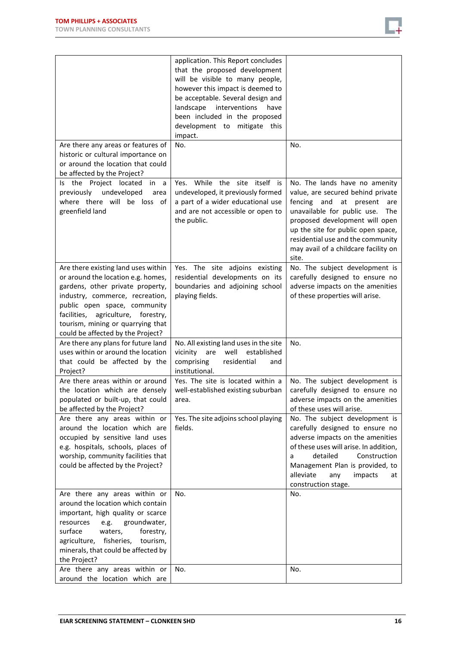

| Are there any areas or features of<br>historic or cultural importance on<br>or around the location that could<br>be affected by the Project?                                                                                                                                                        | application. This Report concludes<br>that the proposed development<br>will be visible to many people,<br>however this impact is deemed to<br>be acceptable. Several design and<br>landscape<br>interventions<br>have<br>been included in the proposed<br>development to mitigate this<br>impact.<br>No. | No.                                                                                                                                                                                                                                                                                                     |
|-----------------------------------------------------------------------------------------------------------------------------------------------------------------------------------------------------------------------------------------------------------------------------------------------------|----------------------------------------------------------------------------------------------------------------------------------------------------------------------------------------------------------------------------------------------------------------------------------------------------------|---------------------------------------------------------------------------------------------------------------------------------------------------------------------------------------------------------------------------------------------------------------------------------------------------------|
| Is the Project located<br>in<br>a<br>undeveloped<br>previously<br>area<br>where there will be loss of<br>greenfield land                                                                                                                                                                            | While the site itself<br>is is<br>Yes.<br>undeveloped, it previously formed<br>a part of a wider educational use<br>and are not accessible or open to<br>the public.                                                                                                                                     | No. The lands have no amenity<br>value, are secured behind private<br>fencing and at present<br>are<br>unavailable for public use.<br>The<br>proposed development will open<br>up the site for public open space,<br>residential use and the community<br>may avail of a childcare facility on<br>site. |
| Are there existing land uses within<br>or around the location e.g. homes,<br>gardens, other private property,<br>industry, commerce, recreation,<br>public open space, community<br>agriculture, forestry,<br>facilities,<br>tourism, mining or quarrying that<br>could be affected by the Project? | Yes. The site adjoins existing<br>residential developments on its<br>boundaries and adjoining school<br>playing fields.                                                                                                                                                                                  | No. The subject development is<br>carefully designed to ensure no<br>adverse impacts on the amenities<br>of these properties will arise.                                                                                                                                                                |
| Are there any plans for future land<br>uses within or around the location<br>that could be affected by the<br>Project?                                                                                                                                                                              | No. All existing land uses in the site<br>vicinity<br>well<br>established<br>are<br>comprising<br>residential<br>and<br>institutional.                                                                                                                                                                   | No.                                                                                                                                                                                                                                                                                                     |
| Are there areas within or around<br>the location which are densely<br>populated or built-up, that could<br>be affected by the Project?                                                                                                                                                              | Yes. The site is located within a<br>well-established existing suburban<br>area.                                                                                                                                                                                                                         | No. The subject development is<br>carefully designed to ensure no<br>adverse impacts on the amenities<br>of these uses will arise.                                                                                                                                                                      |
| Are there any areas within or<br>around the location which are<br>occupied by sensitive land uses<br>e.g. hospitals, schools, places of<br>worship, community facilities that<br>could be affected by the Project?                                                                                  | Yes. The site adjoins school playing<br>fields.                                                                                                                                                                                                                                                          | No. The subject development is<br>carefully designed to ensure no<br>adverse impacts on the amenities<br>of these uses will arise. In addition,<br>detailed<br>Construction<br>a<br>Management Plan is provided, to<br>alleviate<br>any<br>impacts<br>at<br>construction stage.                         |
| Are there any areas within or<br>around the location which contain<br>important, high quality or scarce<br>groundwater,<br>resources<br>e.g.<br>surface<br>waters,<br>forestry,<br>agriculture, fisheries,<br>tourism,<br>minerals, that could be affected by<br>the Project?                       | No.                                                                                                                                                                                                                                                                                                      | No.                                                                                                                                                                                                                                                                                                     |
| Are there any areas within or<br>around the location which are                                                                                                                                                                                                                                      | No.                                                                                                                                                                                                                                                                                                      | No.                                                                                                                                                                                                                                                                                                     |